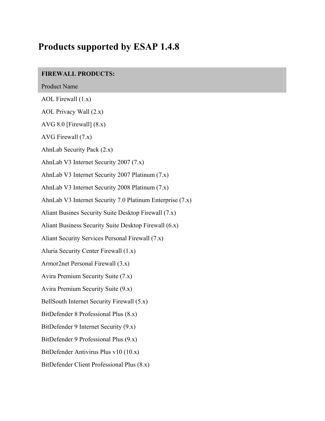## **Products supported by ESAP 1.4.8**

## **FIREWALL PRODUCTS:**

Product Name

AOL Firewall (1.x)

AOL Privacy Wall (2.x)

AVG 8.0 [Firewall] (8.x)

AVG Firewall (7.x)

AhnLab Security Pack (2.x)

AhnLab V3 Internet Security 2007 (7.x)

AhnLab V3 Internet Security 2007 Platinum (7.x)

AhnLab V3 Internet Security 2008 Platinum (7.x)

AhnLab V3 Internet Security 7.0 Platinum Enterprise (7.x)

Aliant Busines Security Suite Desktop Firewall (7.x)

Aliant Business Security Suite Desktop Firewall (6.x)

Aliant Security Services Personal Firewall (7.x)

Aluria Security Center Firewall (1.x)

Armor2net Personal Firewall (3.x)

Avira Premium Security Suite (7.x)

Avira Premium Security Suite (9.x)

BellSouth Internet Security Firewall (5.x)

BitDefender 8 Professional Plus (8.x)

BitDefender 9 Internet Security (9.x)

BitDefender 9 Professional Plus (9.x)

BitDefender Antivirus Plus v10 (10.x)

BitDefender Client Professional Plus (8.x)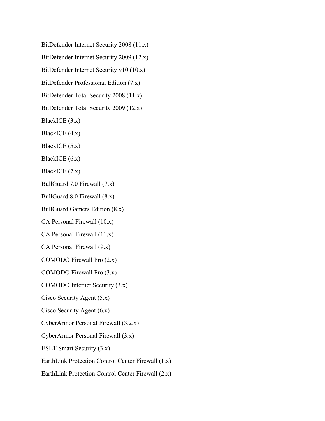BitDefender Internet Security 2008 (11.x)

BitDefender Internet Security 2009 (12.x)

BitDefender Internet Security v10 (10.x)

BitDefender Professional Edition (7.x)

BitDefender Total Security 2008 (11.x)

BitDefender Total Security 2009 (12.x)

BlackICE (3.x)

BlackICE (4.x)

BlackICE (5.x)

BlackICE (6.x)

BlackICE (7.x)

BullGuard 7.0 Firewall (7.x)

BullGuard 8.0 Firewall (8.x)

BullGuard Gamers Edition (8.x)

CA Personal Firewall (10.x)

CA Personal Firewall (11.x)

CA Personal Firewall (9.x)

COMODO Firewall Pro (2.x)

COMODO Firewall Pro (3.x)

COMODO Internet Security (3.x)

Cisco Security Agent (5.x)

Cisco Security Agent (6.x)

CyberArmor Personal Firewall (3.2.x)

CyberArmor Personal Firewall (3.x)

ESET Smart Security (3.x)

EarthLink Protection Control Center Firewall (1.x)

EarthLink Protection Control Center Firewall (2.x)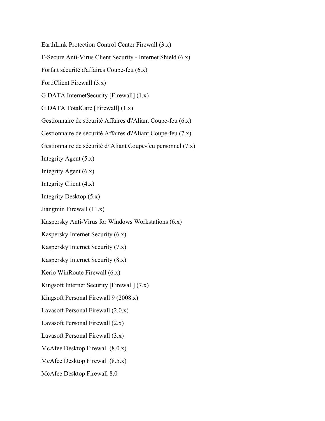EarthLink Protection Control Center Firewall (3.x)

F-Secure Anti-Virus Client Security - Internet Shield (6.x)

Forfait sécurité d'affaires Coupe-feu (6.x)

FortiClient Firewall (3.x)

G DATA InternetSecurity [Firewall] (1.x)

G DATA TotalCare [Firewall] (1.x)

Gestionnaire de sécurité Affaires d\'Aliant Coupe-feu (6.x)

Gestionnaire de sécurité Affaires d\'Aliant Coupe-feu (7.x)

Gestionnaire de sécurité d\'Aliant Coupe-feu personnel (7.x)

Integrity Agent (5.x)

Integrity Agent (6.x)

Integrity Client (4.x)

Integrity Desktop (5.x)

Jiangmin Firewall (11.x)

Kaspersky Anti-Virus for Windows Workstations (6.x)

Kaspersky Internet Security (6.x)

Kaspersky Internet Security (7.x)

Kaspersky Internet Security (8.x)

Kerio WinRoute Firewall (6.x)

Kingsoft Internet Security [Firewall] (7.x)

Kingsoft Personal Firewall 9 (2008.x)

Lavasoft Personal Firewall (2.0.x)

Lavasoft Personal Firewall (2.x)

Lavasoft Personal Firewall (3.x)

McAfee Desktop Firewall (8.0.x)

McAfee Desktop Firewall (8.5.x)

McAfee Desktop Firewall 8.0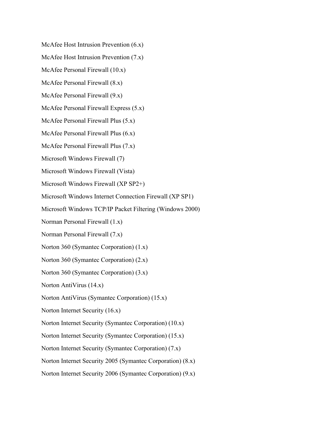McAfee Host Intrusion Prevention (6.x)

McAfee Host Intrusion Prevention (7.x)

McAfee Personal Firewall (10.x)

McAfee Personal Firewall (8.x)

McAfee Personal Firewall (9.x)

McAfee Personal Firewall Express (5.x)

McAfee Personal Firewall Plus (5.x)

McAfee Personal Firewall Plus (6.x)

McAfee Personal Firewall Plus (7.x)

Microsoft Windows Firewall (7)

Microsoft Windows Firewall (Vista)

Microsoft Windows Firewall (XP SP2+)

Microsoft Windows Internet Connection Firewall (XP SP1)

Microsoft Windows TCP/IP Packet Filtering (Windows 2000)

Norman Personal Firewall (1.x)

Norman Personal Firewall (7.x)

Norton 360 (Symantec Corporation) (1.x)

Norton 360 (Symantec Corporation) (2.x)

Norton 360 (Symantec Corporation) (3.x)

Norton AntiVirus (14.x)

Norton AntiVirus (Symantec Corporation) (15.x)

Norton Internet Security (16.x)

Norton Internet Security (Symantec Corporation) (10.x)

Norton Internet Security (Symantec Corporation) (15.x)

Norton Internet Security (Symantec Corporation) (7.x)

Norton Internet Security 2005 (Symantec Corporation) (8.x)

Norton Internet Security 2006 (Symantec Corporation) (9.x)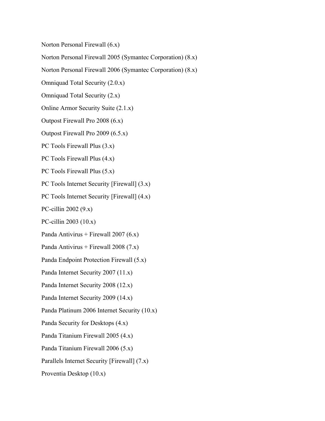Norton Personal Firewall (6.x)

Norton Personal Firewall 2005 (Symantec Corporation) (8.x)

Norton Personal Firewall 2006 (Symantec Corporation) (8.x)

Omniquad Total Security (2.0.x)

Omniquad Total Security (2.x)

Online Armor Security Suite (2.1.x)

Outpost Firewall Pro 2008 (6.x)

Outpost Firewall Pro 2009 (6.5.x)

PC Tools Firewall Plus  $(3.x)$ 

PC Tools Firewall Plus (4.x)

PC Tools Firewall Plus (5.x)

PC Tools Internet Security [Firewall] (3.x)

PC Tools Internet Security [Firewall] (4.x)

PC-cillin 2002 (9.x)

PC-cillin 2003 (10.x)

Panda Antivirus + Firewall 2007 (6.x)

Panda Antivirus + Firewall 2008 (7.x)

Panda Endpoint Protection Firewall (5.x)

Panda Internet Security 2007 (11.x)

Panda Internet Security 2008 (12.x)

Panda Internet Security 2009 (14.x)

Panda Platinum 2006 Internet Security (10.x)

Panda Security for Desktops (4.x)

Panda Titanium Firewall 2005 (4.x)

Panda Titanium Firewall 2006 (5.x)

Parallels Internet Security [Firewall] (7.x)

Proventia Desktop (10.x)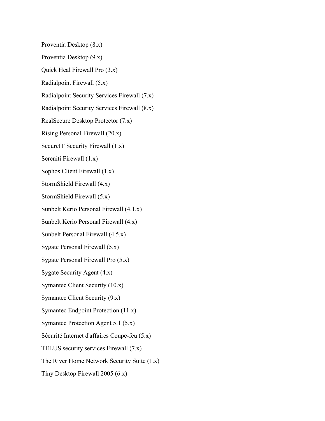Proventia Desktop (8.x)

Proventia Desktop (9.x)

Quick Heal Firewall Pro (3.x)

Radialpoint Firewall (5.x)

Radialpoint Security Services Firewall (7.x)

Radialpoint Security Services Firewall (8.x)

RealSecure Desktop Protector (7.x)

Rising Personal Firewall (20.x)

SecureIT Security Firewall  $(1.x)$ 

Sereniti Firewall (1.x)

Sophos Client Firewall (1.x)

StormShield Firewall (4.x)

StormShield Firewall (5.x)

Sunbelt Kerio Personal Firewall (4.1.x)

Sunbelt Kerio Personal Firewall (4.x)

Sunbelt Personal Firewall (4.5.x)

Sygate Personal Firewall (5.x)

Sygate Personal Firewall Pro (5.x)

Sygate Security Agent (4.x)

Symantec Client Security (10.x)

Symantec Client Security (9.x)

Symantec Endpoint Protection (11.x)

Symantec Protection Agent 5.1 (5.x)

Sécurité Internet d'affaires Coupe-feu (5.x)

TELUS security services Firewall (7.x)

The River Home Network Security Suite (1.x)

Tiny Desktop Firewall 2005 (6.x)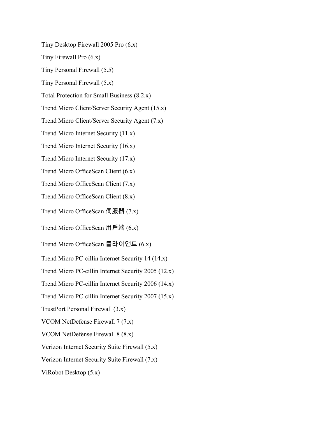Tiny Desktop Firewall 2005 Pro (6.x)

Tiny Firewall Pro (6.x)

Tiny Personal Firewall (5.5)

Tiny Personal Firewall (5.x)

Total Protection for Small Business (8.2.x)

Trend Micro Client/Server Security Agent (15.x)

Trend Micro Client/Server Security Agent (7.x)

Trend Micro Internet Security (11.x)

Trend Micro Internet Security (16.x)

Trend Micro Internet Security (17.x)

Trend Micro OfficeScan Client (6.x)

Trend Micro OfficeScan Client (7.x)

Trend Micro OfficeScan Client (8.x)

Trend Micro OfficeScan 伺服器  $(7.x)$ 

Trend Micro OfficeScan 用戶端  $(6.x)$ 

Trend Micro OfficeScan 클라이언트 (6.x)

Trend Micro PC-cillin Internet Security 14 (14.x)

Trend Micro PC-cillin Internet Security 2005 (12.x)

Trend Micro PC-cillin Internet Security 2006 (14.x)

Trend Micro PC-cillin Internet Security 2007 (15.x)

TrustPort Personal Firewall (3.x)

VCOM NetDefense Firewall 7 (7.x)

VCOM NetDefense Firewall 8 (8.x)

Verizon Internet Security Suite Firewall (5.x)

Verizon Internet Security Suite Firewall (7.x)

ViRobot Desktop (5.x)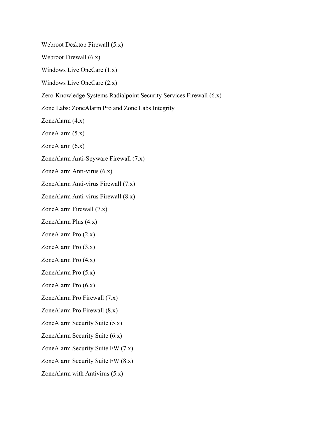Webroot Desktop Firewall (5.x)

Webroot Firewall (6.x)

Windows Live OneCare (1.x)

Windows Live OneCare (2.x)

Zero-Knowledge Systems Radialpoint Security Services Firewall (6.x)

Zone Labs: ZoneAlarm Pro and Zone Labs Integrity

ZoneAlarm (4.x)

ZoneAlarm (5.x)

ZoneAlarm (6.x)

ZoneAlarm Anti-Spyware Firewall (7.x)

ZoneAlarm Anti-virus (6.x)

ZoneAlarm Anti-virus Firewall (7.x)

ZoneAlarm Anti-virus Firewall (8.x)

ZoneAlarm Firewall (7.x)

ZoneAlarm Plus (4.x)

ZoneAlarm Pro (2.x)

ZoneAlarm Pro (3.x)

ZoneAlarm Pro (4.x)

ZoneAlarm Pro (5.x)

ZoneAlarm Pro (6.x)

ZoneAlarm Pro Firewall (7.x)

ZoneAlarm Pro Firewall (8.x)

ZoneAlarm Security Suite (5.x)

ZoneAlarm Security Suite (6.x)

ZoneAlarm Security Suite FW (7.x)

ZoneAlarm Security Suite FW (8.x)

ZoneAlarm with Antivirus (5.x)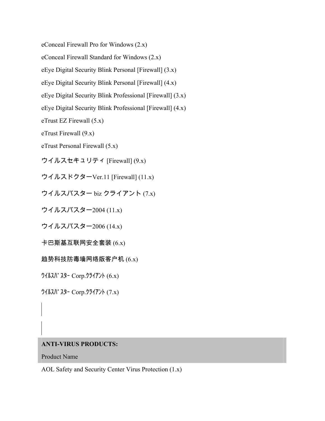eConceal Firewall Pro for Windows (2.x)

eConceal Firewall Standard for Windows (2.x)

eEye Digital Security Blink Personal [Firewall] (3.x)

eEye Digital Security Blink Personal [Firewall] (4.x)

eEye Digital Security Blink Professional [Firewall] (3.x)

eEye Digital Security Blink Professional [Firewall] (4.x)

eTrust EZ Firewall (5.x)

eTrust Firewall (9.x)

eTrust Personal Firewall (5.x)

ウイルスセキュリティ [Firewall]  $(9.x)$ 

ウイルスドクターVer.11 [Firewall]  $(11.x)$ 

ウイルスバスター biz クライアント  $(7.x)$ 

ウイルスバスター2004 (11.x)

ウイルスバスター2006 (14.x)

卡巴斯基互联网安全套装  $(6.x)$ 

趋势科技防毒墙网络版客户机 $(6.x)$ 

 $\frac{1}{2}$   $\frac{1}{\sqrt{2}}$   $\frac{1}{\sqrt{2}}$   $\frac{1}{\sqrt{2}}$   $\frac{1}{\sqrt{2}}$   $\frac{1}{\sqrt{2}}$   $\frac{1}{\sqrt{2}}$   $\frac{1}{\sqrt{2}}$   $\frac{1}{\sqrt{2}}$   $\frac{1}{\sqrt{2}}$   $\frac{1}{\sqrt{2}}$   $\frac{1}{\sqrt{2}}$   $\frac{1}{\sqrt{2}}$   $\frac{1}{\sqrt{2}}$   $\frac{1}{\sqrt{2}}$   $\frac{1}{\sqrt{2}}$   $\frac{1}{\sqrt{2}}$   $\frac$ 

ᩍᩌᩳᩗᩤ᩸ᩗᩚᩊ Corp.ᩒᩱᩌᩋ᩷ᩞ (7.x)

## **ANTI-VIRUS PRODUCTS:**

Product Name

AOL Safety and Security Center Virus Protection (1.x)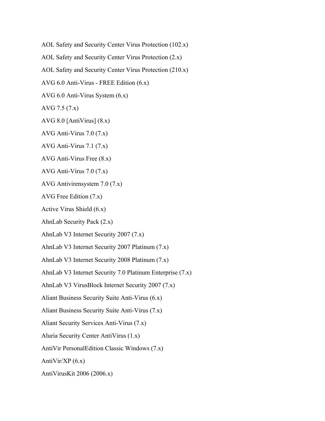AOL Safety and Security Center Virus Protection (102.x)

AOL Safety and Security Center Virus Protection (2.x)

AOL Safety and Security Center Virus Protection (210.x)

AVG 6.0 Anti-Virus - FREE Edition (6.x)

AVG 6.0 Anti-Virus System (6.x)

AVG 7.5 (7.x)

AVG 8.0 [AntiVirus] (8.x)

AVG Anti-Virus 7.0 (7.x)

AVG Anti-Virus 7.1 (7.x)

AVG Anti-Virus Free (8.x)

AVG Anti-Vírus 7.0 (7.x)

AVG Antivirensystem 7.0 (7.x)

AVG Free Edition (7.x)

Active Virus Shield (6.x)

AhnLab Security Pack (2.x)

AhnLab V3 Internet Security 2007 (7.x)

AhnLab V3 Internet Security 2007 Platinum (7.x)

AhnLab V3 Internet Security 2008 Platinum (7.x)

AhnLab V3 Internet Security 7.0 Platinum Enterprise (7.x)

AhnLab V3 VirusBlock Internet Security 2007 (7.x)

Aliant Business Security Suite Anti-Virus (6.x)

Aliant Business Security Suite Anti-Virus (7.x)

Aliant Security Services Anti-Virus (7.x)

Aluria Security Center AntiVirus (1.x)

AntiVir PersonalEdition Classic Windows (7.x)

Anti $Vir/XP(6.x)$ 

AntiVirusKit 2006 (2006.x)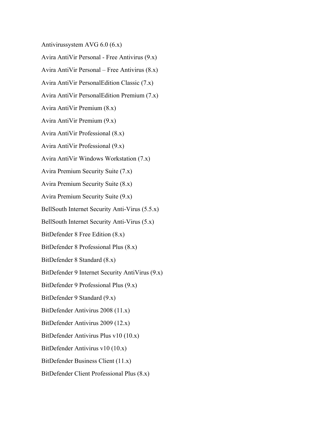Antivirussystem AVG 6.0 (6.x)

Avira AntiVir Personal - Free Antivirus (9.x)

Avira AntiVir Personal – Free Antivirus (8.x)

Avira AntiVir PersonalEdition Classic (7.x)

Avira AntiVir PersonalEdition Premium (7.x)

Avira AntiVir Premium (8.x)

Avira AntiVir Premium (9.x)

Avira AntiVir Professional (8.x)

Avira AntiVir Professional (9.x)

Avira AntiVir Windows Workstation (7.x)

Avira Premium Security Suite (7.x)

Avira Premium Security Suite (8.x)

Avira Premium Security Suite (9.x)

BellSouth Internet Security Anti-Virus (5.5.x)

BellSouth Internet Security Anti-Virus (5.x)

BitDefender 8 Free Edition (8.x)

BitDefender 8 Professional Plus (8.x)

BitDefender 8 Standard (8.x)

BitDefender 9 Internet Security AntiVirus (9.x)

BitDefender 9 Professional Plus (9.x)

BitDefender 9 Standard (9.x)

BitDefender Antivirus 2008 (11.x)

BitDefender Antivirus 2009 (12.x)

BitDefender Antivirus Plus v10 (10.x)

BitDefender Antivirus v10 (10.x)

BitDefender Business Client (11.x)

BitDefender Client Professional Plus (8.x)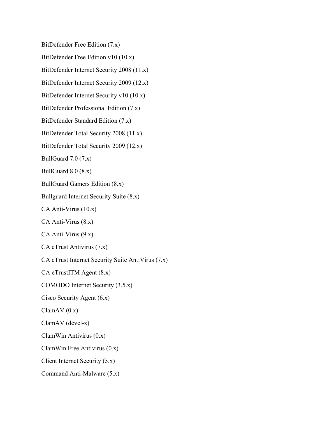BitDefender Free Edition (7.x)

BitDefender Free Edition v10 (10.x)

BitDefender Internet Security 2008 (11.x)

BitDefender Internet Security 2009 (12.x)

BitDefender Internet Security v10 (10.x)

BitDefender Professional Edition (7.x)

BitDefender Standard Edition (7.x)

BitDefender Total Security 2008 (11.x)

BitDefender Total Security 2009 (12.x)

BullGuard  $7.0$   $(7.x)$ 

BullGuard 8.0 (8.x)

BullGuard Gamers Edition (8.x)

Bullguard Internet Security Suite (8.x)

CA Anti-Virus (10.x)

CA Anti-Virus (8.x)

CA Anti-Virus (9.x)

CA eTrust Antivirus (7.x)

CA eTrust Internet Security Suite AntiVirus (7.x)

CA eTrustITM Agent (8.x)

COMODO Internet Security (3.5.x)

Cisco Security Agent (6.x)

 $ClamAV(0.x)$ 

ClamAV (devel-x)

ClamWin Antivirus (0.x)

ClamWin Free Antivirus (0.x)

Client Internet Security (5.x)

Command Anti-Malware (5.x)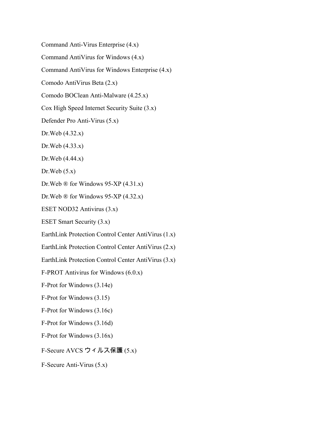Command Anti-Virus Enterprise (4.x)

Command AntiVirus for Windows (4.x)

Command AntiVirus for Windows Enterprise (4.x)

Comodo AntiVirus Beta (2.x)

Comodo BOClean Anti-Malware (4.25.x)

Cox High Speed Internet Security Suite (3.x)

Defender Pro Anti-Virus (5.x)

Dr.Web (4.32.x)

Dr.Web (4.33.x)

Dr.Web (4.44.x)

Dr.Web  $(5.x)$ 

Dr.Web  $\mathbb{D}$  for Windows 95-XP (4.31.x)

Dr. Web  $\mathbb{D}$  for Windows 95-XP (4.32.x)

ESET NOD32 Antivirus (3.x)

ESET Smart Security (3.x)

EarthLink Protection Control Center AntiVirus (1.x)

EarthLink Protection Control Center AntiVirus (2.x)

EarthLink Protection Control Center AntiVirus (3.x)

F-PROT Antivirus for Windows (6.0.x)

F-Prot for Windows (3.14e)

F-Prot for Windows (3.15)

F-Prot for Windows (3.16c)

F-Prot for Windows (3.16d)

F-Prot for Windows (3.16x)

F-Secure AVCS ウィルス保護 (5.x)

F-Secure Anti-Virus (5.x)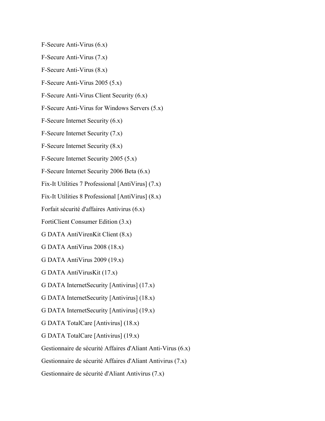F-Secure Anti-Virus (6.x)

F-Secure Anti-Virus (7.x)

F-Secure Anti-Virus (8.x)

F-Secure Anti-Virus 2005 (5.x)

F-Secure Anti-Virus Client Security (6.x)

F-Secure Anti-Virus for Windows Servers (5.x)

F-Secure Internet Security (6.x)

F-Secure Internet Security (7.x)

F-Secure Internet Security (8.x)

F-Secure Internet Security 2005 (5.x)

F-Secure Internet Security 2006 Beta (6.x)

Fix-It Utilities 7 Professional [AntiVirus] (7.x)

Fix-It Utilities 8 Professional [AntiVirus] (8.x)

Forfait sécurité d'affaires Antivirus (6.x)

FortiClient Consumer Edition (3.x)

G DATA AntiVirenKit Client (8.x)

G DATA AntiVirus 2008 (18.x)

G DATA AntiVirus 2009 (19.x)

G DATA AntiVirusKit (17.x)

G DATA InternetSecurity [Antivirus] (17.x)

G DATA InternetSecurity [Antivirus] (18.x)

G DATA InternetSecurity [Antivirus] (19.x)

G DATA TotalCare [Antivirus] (18.x)

G DATA TotalCare [Antivirus] (19.x)

Gestionnaire de sécurité Affaires d'Aliant Anti-Virus (6.x)

Gestionnaire de sécurité Affaires d'Aliant Antivirus (7.x)

Gestionnaire de sécurité d'Aliant Antivirus (7.x)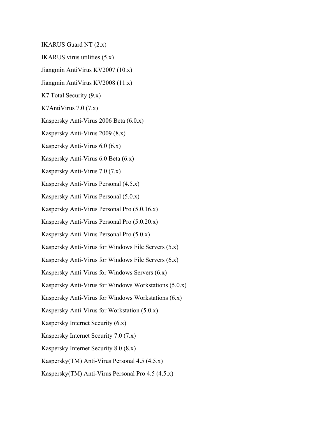IKARUS Guard NT (2.x)

IKARUS virus utilities (5.x)

Jiangmin AntiVirus KV2007 (10.x)

Jiangmin AntiVirus KV2008 (11.x)

K7 Total Security (9.x)

K7AntiVirus 7.0 (7.x)

Kaspersky Anti-Virus 2006 Beta (6.0.x)

Kaspersky Anti-Virus 2009 (8.x)

Kaspersky Anti-Virus 6.0 (6.x)

Kaspersky Anti-Virus 6.0 Beta (6.x)

Kaspersky Anti-Virus 7.0 (7.x)

Kaspersky Anti-Virus Personal (4.5.x)

Kaspersky Anti-Virus Personal (5.0.x)

Kaspersky Anti-Virus Personal Pro (5.0.16.x)

Kaspersky Anti-Virus Personal Pro (5.0.20.x)

Kaspersky Anti-Virus Personal Pro (5.0.x)

Kaspersky Anti-Virus for Windows File Servers (5.x)

Kaspersky Anti-Virus for Windows File Servers (6.x)

Kaspersky Anti-Virus for Windows Servers (6.x)

Kaspersky Anti-Virus for Windows Workstations (5.0.x)

Kaspersky Anti-Virus for Windows Workstations (6.x)

Kaspersky Anti-Virus for Workstation (5.0.x)

Kaspersky Internet Security (6.x)

Kaspersky Internet Security 7.0 (7.x)

Kaspersky Internet Security 8.0 (8.x)

Kaspersky(TM) Anti-Virus Personal 4.5 (4.5.x)

Kaspersky(TM) Anti-Virus Personal Pro 4.5 (4.5.x)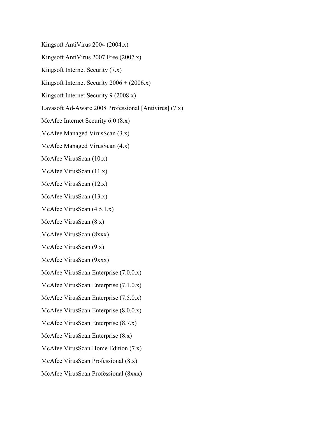Kingsoft AntiVirus 2004 (2004.x)

Kingsoft AntiVirus 2007 Free (2007.x)

Kingsoft Internet Security (7.x)

Kingsoft Internet Security  $2006 + (2006.x)$ 

Kingsoft Internet Security 9 (2008.x)

Lavasoft Ad-Aware 2008 Professional [Antivirus] (7.x)

McAfee Internet Security 6.0 (8.x)

McAfee Managed VirusScan (3.x)

McAfee Managed VirusScan (4.x)

McAfee VirusScan (10.x)

McAfee VirusScan (11.x)

McAfee VirusScan (12.x)

McAfee VirusScan (13.x)

McAfee VirusScan (4.5.1.x)

McAfee VirusScan (8.x)

McAfee VirusScan (8xxx)

McAfee VirusScan (9.x)

McAfee VirusScan (9xxx)

McAfee VirusScan Enterprise (7.0.0.x)

McAfee VirusScan Enterprise (7.1.0.x)

McAfee VirusScan Enterprise (7.5.0.x)

McAfee VirusScan Enterprise (8.0.0.x)

McAfee VirusScan Enterprise (8.7.x)

McAfee VirusScan Enterprise (8.x)

McAfee VirusScan Home Edition (7.x)

McAfee VirusScan Professional (8.x)

McAfee VirusScan Professional (8xxx)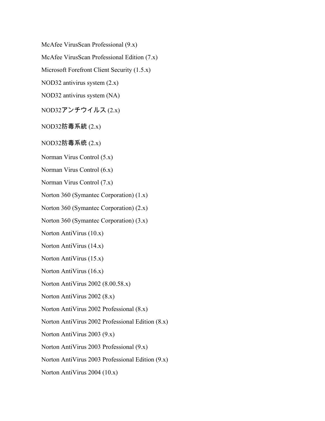McAfee VirusScan Professional (9.x)

McAfee VirusScan Professional Edition (7.x)

Microsoft Forefront Client Security (1.5.x)

NOD32 antivirus system (2.x)

NOD32 antivirus system (NA)

 $NOD32$ アンチウイルス (2.x)

NOD32防毒系統 (2.x)

 $NOD32$ 防毒系统  $(2.x)$ 

Norman Virus Control (5.x)

Norman Virus Control (6.x)

Norman Virus Control (7.x)

Norton 360 (Symantec Corporation) (1.x)

Norton 360 (Symantec Corporation) (2.x)

Norton 360 (Symantec Corporation) (3.x)

Norton AntiVirus (10.x)

Norton AntiVirus (14.x)

Norton AntiVirus (15.x)

Norton AntiVirus (16.x)

Norton AntiVirus 2002 (8.00.58.x)

Norton AntiVirus 2002 (8.x)

Norton AntiVirus 2002 Professional (8.x)

Norton AntiVirus 2002 Professional Edition (8.x)

Norton AntiVirus 2003 (9.x)

Norton AntiVirus 2003 Professional (9.x)

Norton AntiVirus 2003 Professional Edition (9.x)

Norton AntiVirus 2004 (10.x)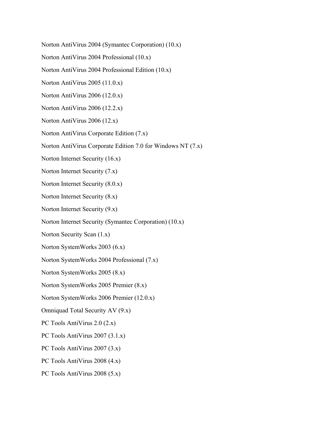Norton AntiVirus 2004 (Symantec Corporation) (10.x)

Norton AntiVirus 2004 Professional (10.x)

Norton AntiVirus 2004 Professional Edition (10.x)

Norton AntiVirus 2005 (11.0.x)

Norton AntiVirus 2006 (12.0.x)

Norton AntiVirus 2006 (12.2.x)

Norton AntiVirus 2006 (12.x)

Norton AntiVirus Corporate Edition (7.x)

Norton AntiVirus Corporate Edition 7.0 for Windows NT (7.x)

Norton Internet Security (16.x)

Norton Internet Security (7.x)

Norton Internet Security (8.0.x)

Norton Internet Security (8.x)

Norton Internet Security (9.x)

Norton Internet Security (Symantec Corporation) (10.x)

Norton Security Scan (1.x)

Norton SystemWorks 2003 (6.x)

Norton SystemWorks 2004 Professional (7.x)

Norton SystemWorks 2005 (8.x)

Norton SystemWorks 2005 Premier (8.x)

Norton SystemWorks 2006 Premier (12.0.x)

Omniquad Total Security AV (9.x)

PC Tools AntiVirus 2.0 (2.x)

PC Tools AntiVirus 2007 (3.1.x)

PC Tools AntiVirus 2007 (3.x)

PC Tools AntiVirus 2008 (4.x)

PC Tools AntiVirus 2008 (5.x)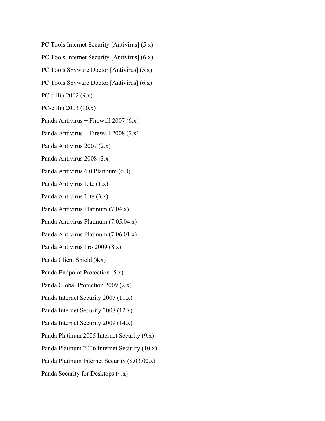- PC Tools Internet Security [Antivirus] (5.x)
- PC Tools Internet Security [Antivirus] (6.x)
- PC Tools Spyware Doctor [Antivirus] (5.x)
- PC Tools Spyware Doctor [Antivirus] (6.x)
- PC-cillin 2002 (9.x)
- PC-cillin 2003 (10.x)
- Panda Antivirus + Firewall 2007 (6.x)
- Panda Antivirus + Firewall 2008 (7.x)
- Panda Antivirus 2007 (2.x)
- Panda Antivirus 2008 (3.x)
- Panda Antivirus 6.0 Platinum (6.0)
- Panda Antivirus Lite (1.x)
- Panda Antivirus Lite (3.x)
- Panda Antivirus Platinum (7.04.x)
- Panda Antivirus Platinum (7.05.04.x)
- Panda Antivirus Platinum (7.06.01.x)
- Panda Antivirus Pro 2009 (8.x)
- Panda Client Shield (4.x)
- Panda Endpoint Protection (5.x)
- Panda Global Protection 2009 (2.x)
- Panda Internet Security 2007 (11.x)
- Panda Internet Security 2008 (12.x)
- Panda Internet Security 2009 (14.x)
- Panda Platinum 2005 Internet Security (9.x)
- Panda Platinum 2006 Internet Security (10.x)
- Panda Platinum Internet Security (8.03.00.x)
- Panda Security for Desktops (4.x)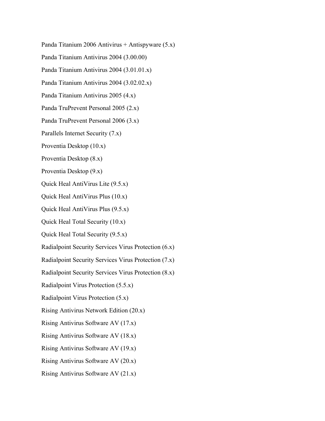Panda Titanium 2006 Antivirus + Antispyware (5.x) Panda Titanium Antivirus 2004 (3.00.00) Panda Titanium Antivirus 2004 (3.01.01.x) Panda Titanium Antivirus 2004 (3.02.02.x) Panda Titanium Antivirus 2005 (4.x) Panda TruPrevent Personal 2005 (2.x) Panda TruPrevent Personal 2006 (3.x) Parallels Internet Security (7.x) Proventia Desktop (10.x) Proventia Desktop (8.x) Proventia Desktop (9.x) Quick Heal AntiVirus Lite (9.5.x) Quick Heal AntiVirus Plus (10.x) Quick Heal AntiVirus Plus (9.5.x) Quick Heal Total Security (10.x) Quick Heal Total Security (9.5.x) Radialpoint Security Services Virus Protection (6.x) Radialpoint Security Services Virus Protection (7.x) Radialpoint Security Services Virus Protection (8.x) Radialpoint Virus Protection (5.5.x) Radialpoint Virus Protection (5.x) Rising Antivirus Network Edition (20.x) Rising Antivirus Software AV (17.x) Rising Antivirus Software AV (18.x) Rising Antivirus Software AV (19.x) Rising Antivirus Software AV (20.x) Rising Antivirus Software AV (21.x)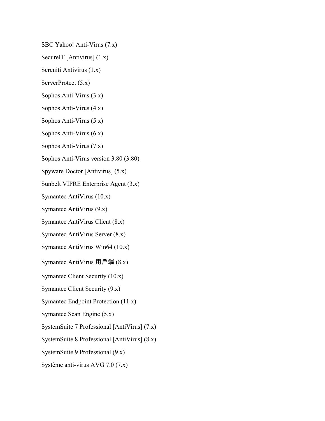SBC Yahoo! Anti-Virus (7.x)

SecureIT [Antivirus] (1.x)

Sereniti Antivirus (1.x)

ServerProtect (5.x)

Sophos Anti-Virus (3.x)

Sophos Anti-Virus (4.x)

Sophos Anti-Virus (5.x)

Sophos Anti-Virus (6.x)

Sophos Anti-Virus (7.x)

Sophos Anti-Virus version 3.80 (3.80)

Spyware Doctor [Antivirus] (5.x)

Sunbelt VIPRE Enterprise Agent (3.x)

Symantec AntiVirus (10.x)

Symantec AntiVirus (9.x)

Symantec AntiVirus Client (8.x)

Symantec AntiVirus Server (8.x)

Symantec AntiVirus Win64 (10.x)

Symantec AntiVirus 用戶端  $(8.x)$ 

Symantec Client Security (10.x)

Symantec Client Security (9.x)

Symantec Endpoint Protection (11.x)

Symantec Scan Engine (5.x)

SystemSuite 7 Professional [AntiVirus] (7.x)

SystemSuite 8 Professional [AntiVirus] (8.x)

SystemSuite 9 Professional (9.x)

Système anti-virus AVG 7.0 (7.x)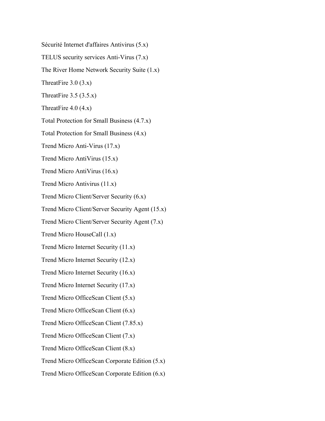Sécurité Internet d'affaires Antivirus (5.x)

TELUS security services Anti-Virus (7.x)

The River Home Network Security Suite (1.x)

ThreatFire 3.0 (3.x)

ThreatFire  $3.5 (3.5.x)$ 

ThreatFire  $4.0$  (4.x)

Total Protection for Small Business (4.7.x)

Total Protection for Small Business (4.x)

Trend Micro Anti-Virus (17.x)

Trend Micro AntiVirus (15.x)

Trend Micro AntiVirus (16.x)

Trend Micro Antivirus (11.x)

Trend Micro Client/Server Security (6.x)

Trend Micro Client/Server Security Agent (15.x)

Trend Micro Client/Server Security Agent (7.x)

Trend Micro HouseCall (1.x)

Trend Micro Internet Security (11.x)

Trend Micro Internet Security (12.x)

Trend Micro Internet Security (16.x)

Trend Micro Internet Security (17.x)

Trend Micro OfficeScan Client (5.x)

Trend Micro OfficeScan Client (6.x)

Trend Micro OfficeScan Client (7.85.x)

Trend Micro OfficeScan Client (7.x)

Trend Micro OfficeScan Client (8.x)

Trend Micro OfficeScan Corporate Edition (5.x)

Trend Micro OfficeScan Corporate Edition (6.x)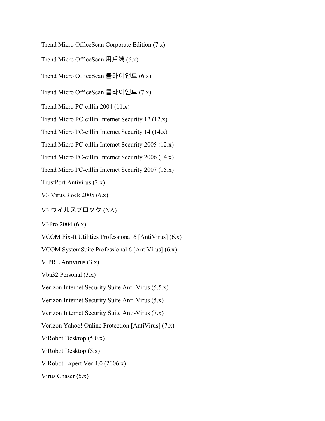Trend Micro OfficeScan Corporate Edition (7.x)

Trend Micro OfficeScan 用戶端  $(6.x)$ 

Trend Micro OfficeScan 클라이언트 (6.x)

Trend Micro OfficeScan 클라이언트 (7.x)

Trend Micro PC-cillin 2004 (11.x)

Trend Micro PC-cillin Internet Security 12 (12.x)

Trend Micro PC-cillin Internet Security 14 (14.x)

Trend Micro PC-cillin Internet Security 2005 (12.x)

Trend Micro PC-cillin Internet Security 2006 (14.x)

Trend Micro PC-cillin Internet Security 2007 (15.x)

TrustPort Antivirus (2.x)

V3 VirusBlock 2005 (6.x)

V3 ウイルスブロック (NA)

V3Pro 2004 (6.x)

VCOM Fix-It Utilities Professional 6 [AntiVirus] (6.x)

VCOM SystemSuite Professional 6 [AntiVirus] (6.x)

VIPRE Antivirus (3.x)

Vba32 Personal (3.x)

Verizon Internet Security Suite Anti-Virus (5.5.x)

Verizon Internet Security Suite Anti-Virus (5.x)

Verizon Internet Security Suite Anti-Virus (7.x)

Verizon Yahoo! Online Protection [AntiVirus] (7.x)

ViRobot Desktop (5.0.x)

ViRobot Desktop (5.x)

ViRobot Expert Ver 4.0 (2006.x)

Virus Chaser (5.x)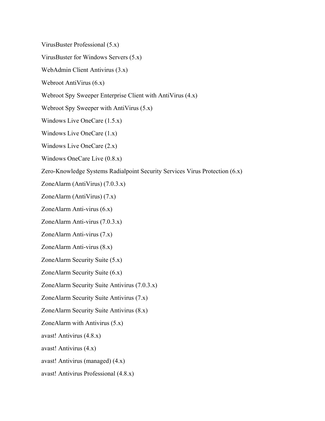VirusBuster Professional (5.x)

VirusBuster for Windows Servers (5.x)

WebAdmin Client Antivirus (3.x)

Webroot AntiVirus (6.x)

Webroot Spy Sweeper Enterprise Client with AntiVirus (4.x)

Webroot Spy Sweeper with AntiVirus (5.x)

Windows Live OneCare (1.5.x)

Windows Live OneCare (1.x)

Windows Live OneCare (2.x)

Windows OneCare Live (0.8.x)

Zero-Knowledge Systems Radialpoint Security Services Virus Protection (6.x)

ZoneAlarm (AntiVirus) (7.0.3.x)

ZoneAlarm (AntiVirus) (7.x)

ZoneAlarm Anti-virus (6.x)

ZoneAlarm Anti-virus (7.0.3.x)

ZoneAlarm Anti-virus (7.x)

ZoneAlarm Anti-virus (8.x)

ZoneAlarm Security Suite (5.x)

ZoneAlarm Security Suite (6.x)

ZoneAlarm Security Suite Antivirus (7.0.3.x)

ZoneAlarm Security Suite Antivirus (7.x)

ZoneAlarm Security Suite Antivirus (8.x)

ZoneAlarm with Antivirus (5.x)

avast! Antivirus (4.8.x)

avast! Antivirus (4.x)

avast! Antivirus (managed) (4.x)

avast! Antivirus Professional (4.8.x)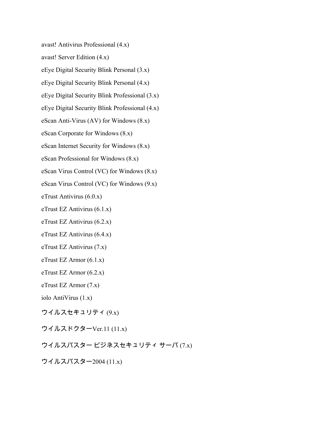avast! Antivirus Professional (4.x)

avast! Server Edition (4.x)

eEye Digital Security Blink Personal (3.x)

eEye Digital Security Blink Personal (4.x)

eEye Digital Security Blink Professional (3.x)

eEye Digital Security Blink Professional (4.x)

eScan Anti-Virus (AV) for Windows (8.x)

eScan Corporate for Windows (8.x)

eScan Internet Security for Windows (8.x)

eScan Professional for Windows (8.x)

eScan Virus Control (VC) for Windows (8.x)

eScan Virus Control (VC) for Windows (9.x)

eTrust Antivirus (6.0.x)

eTrust EZ Antivirus (6.1.x)

eTrust EZ Antivirus (6.2.x)

eTrust EZ Antivirus (6.4.x)

eTrust EZ Antivirus (7.x)

eTrust EZ Armor (6.1.x)

eTrust EZ Armor (6.2.x)

eTrust EZ Armor (7.x)

iolo AntiVirus (1.x)

ウイルスセキュリティ $(9x)$ 

ウイルスドクターVer.11 (11.x)

ウイルスバスタービジネスセキュリティサーバ (7.x)

ウイルスバスター2004 (11.x)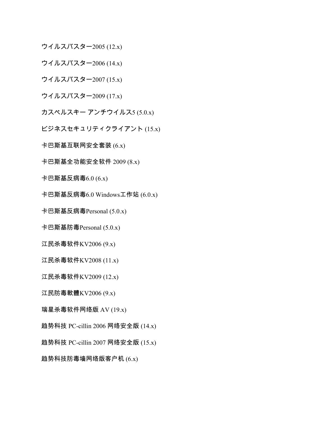ウイルスバスター2005 (12.x)

ウイルスバスター2006 (14.x)

ウイルスバスター2007 (15.x)

ウイルスバスター $2009(17.x)$ 

 $\pi$ スペルスキー アンチウイルス5 (5.0.x)

ビジネスセキュリティクライアント (15.x)

卡巴斯基互联网安全套装  $(6.x)$ 

卡巴斯基全功能安全软件  $2009(8.x)$ 

卡巴斯基反病毒 $6.0$  (6.x)

卡巴斯基反病毒 $6.0$  Windows工作站  $(6.0.x)$ 

卡巴斯基反病毒 $P$ ersonal  $(5.0.x)$ 

卡巴斯基防毒Personal (5.0.x)

江民杀毒软件 $KV2006(9.x)$ 

江民杀毒软件KV2008 (11.x)

江民杀毒软件KV2009 (12.x)

江民防毒軟體 $KV2006(9.x)$ 

瑞星杀毒软件网络版 AV (19.x)

趋势科技 PC-cillin 2006 网络安全版 (14.x)

趋势科技 PC-cillin 2007 网络安全版 (15.x)

趋势科技防毒墙网络版客户机 $(6.x)$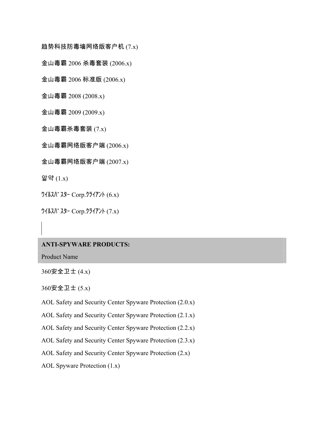趋势科技防毒墙网络版客户机 $(7.x)$ 

金山毒霸 2006 杀毒套装 (2006.x)

金山毒霸 2006 标准版 (2006.x)

金山毒霸 2008 (2008.x)

金山毒霸 2009 (2009.x)

金山毒霸杀毒套装 $(7.x)$ 

金山毒霸网络版客户端  $(2006.x)$ 

金山毒霸网络版客户端  $(2007.x)$ 

알약 (1.x)

ᩍᩌᩳᩗᩤ᩸ᩗᩚᩊ Corp.ᩒᩱᩌᩋ᩷ᩞ (6.x)

ᩍᩌᩳᩗᩤ᩸ᩗᩚᩊ Corp.ᩒᩱᩌᩋ᩷ᩞ (7.x)

## **ANTI-SPYWARE PRODUCTS:**

Product Name

 $360$ 安全卫士 (4.x)

 $360$ 安全卫士 (5.x)

AOL Safety and Security Center Spyware Protection (2.0.x)

AOL Safety and Security Center Spyware Protection (2.1.x)

AOL Safety and Security Center Spyware Protection (2.2.x)

AOL Safety and Security Center Spyware Protection (2.3.x)

AOL Safety and Security Center Spyware Protection (2.x)

AOL Spyware Protection (1.x)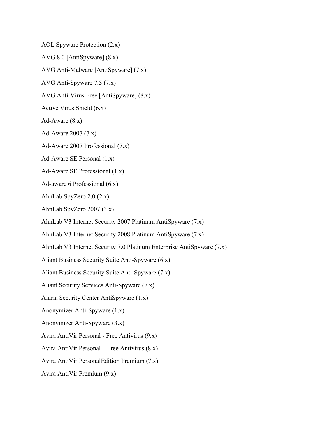AOL Spyware Protection (2.x)

AVG 8.0 [AntiSpyware] (8.x)

AVG Anti-Malware [AntiSpyware] (7.x)

AVG Anti-Spyware 7.5 (7.x)

AVG Anti-Virus Free [AntiSpyware] (8.x)

Active Virus Shield (6.x)

Ad-Aware  $(8.x)$ 

Ad-Aware 2007 (7.x)

Ad-Aware 2007 Professional (7.x)

Ad-Aware SE Personal (1.x)

Ad-Aware SE Professional (1.x)

Ad-aware 6 Professional (6.x)

AhnLab SpyZero 2.0 (2.x)

AhnLab SpyZero 2007 (3.x)

AhnLab V3 Internet Security 2007 Platinum AntiSpyware (7.x)

AhnLab V3 Internet Security 2008 Platinum AntiSpyware (7.x)

AhnLab V3 Internet Security 7.0 Platinum Enterprise AntiSpyware (7.x)

Aliant Business Security Suite Anti-Spyware (6.x)

Aliant Business Security Suite Anti-Spyware (7.x)

Aliant Security Services Anti-Spyware (7.x)

Aluria Security Center AntiSpyware (1.x)

Anonymizer Anti-Spyware (1.x)

Anonymizer Anti-Spyware (3.x)

Avira AntiVir Personal - Free Antivirus (9.x)

Avira AntiVir Personal – Free Antivirus (8.x)

Avira AntiVir PersonalEdition Premium (7.x)

Avira AntiVir Premium (9.x)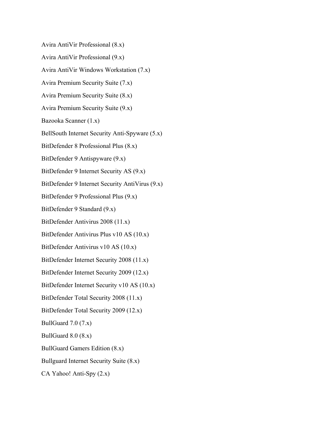Avira AntiVir Professional (8.x)

Avira AntiVir Professional (9.x)

Avira AntiVir Windows Workstation (7.x)

Avira Premium Security Suite (7.x)

Avira Premium Security Suite (8.x)

Avira Premium Security Suite (9.x)

Bazooka Scanner (1.x)

BellSouth Internet Security Anti-Spyware (5.x)

BitDefender 8 Professional Plus (8.x)

BitDefender 9 Antispyware (9.x)

BitDefender 9 Internet Security AS (9.x)

BitDefender 9 Internet Security AntiVirus (9.x)

BitDefender 9 Professional Plus (9.x)

BitDefender 9 Standard (9.x)

BitDefender Antivirus 2008 (11.x)

BitDefender Antivirus Plus v10 AS (10.x)

BitDefender Antivirus v10 AS (10.x)

BitDefender Internet Security 2008 (11.x)

BitDefender Internet Security 2009 (12.x)

BitDefender Internet Security v10 AS (10.x)

BitDefender Total Security 2008 (11.x)

BitDefender Total Security 2009 (12.x)

BullGuard  $7.0$   $(7.x)$ 

BullGuard 8.0 (8.x)

BullGuard Gamers Edition (8.x)

Bullguard Internet Security Suite (8.x)

CA Yahoo! Anti-Spy (2.x)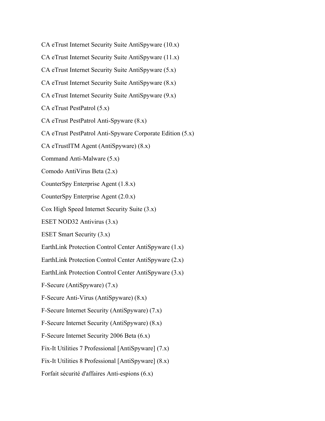CA eTrust Internet Security Suite AntiSpyware (10.x) CA eTrust Internet Security Suite AntiSpyware (11.x) CA eTrust Internet Security Suite AntiSpyware (5.x) CA eTrust Internet Security Suite AntiSpyware (8.x) CA eTrust Internet Security Suite AntiSpyware (9.x) CA eTrust PestPatrol (5.x) CA eTrust PestPatrol Anti-Spyware (8.x) CA eTrust PestPatrol Anti-Spyware Corporate Edition (5.x) CA eTrustITM Agent (AntiSpyware) (8.x) Command Anti-Malware (5.x) Comodo AntiVirus Beta (2.x) CounterSpy Enterprise Agent (1.8.x) CounterSpy Enterprise Agent (2.0.x) Cox High Speed Internet Security Suite (3.x) ESET NOD32 Antivirus (3.x) ESET Smart Security (3.x) EarthLink Protection Control Center AntiSpyware (1.x) EarthLink Protection Control Center AntiSpyware (2.x) EarthLink Protection Control Center AntiSpyware (3.x) F-Secure (AntiSpyware) (7.x) F-Secure Anti-Virus (AntiSpyware) (8.x) F-Secure Internet Security (AntiSpyware) (7.x) F-Secure Internet Security (AntiSpyware) (8.x) F-Secure Internet Security 2006 Beta (6.x) Fix-It Utilities 7 Professional [AntiSpyware] (7.x) Fix-It Utilities 8 Professional [AntiSpyware] (8.x) Forfait sécurité d'affaires Anti-espions (6.x)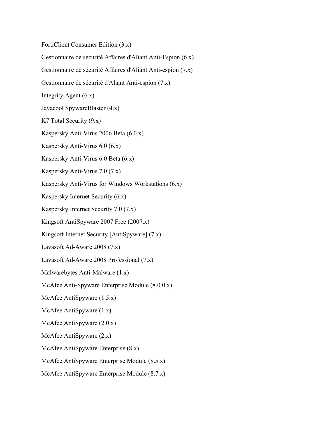FortiClient Consumer Edition (3.x)

Gestionnaire de sécurité Affaires d'Aliant Anti-Espion (6.x)

Gestionnaire de sécurité Affaires d'Aliant Anti-espion (7.x)

Gestionnaire de sécurité d'Aliant Anti-espion (7.x)

Integrity Agent (6.x)

Javacool SpywareBlaster (4.x)

K7 Total Security (9.x)

Kaspersky Anti-Virus 2006 Beta (6.0.x)

Kaspersky Anti-Virus 6.0 (6.x)

Kaspersky Anti-Virus 6.0 Beta (6.x)

Kaspersky Anti-Virus 7.0 (7.x)

Kaspersky Anti-Virus for Windows Workstations (6.x)

Kaspersky Internet Security (6.x)

Kaspersky Internet Security 7.0 (7.x)

Kingsoft AntiSpyware 2007 Free (2007.x)

Kingsoft Internet Security [AntiSpyware] (7.x)

Lavasoft Ad-Aware 2008 (7.x)

Lavasoft Ad-Aware 2008 Professional (7.x)

Malwarebytes Anti-Malware (1.x)

McAfee Anti-Spyware Enterprise Module (8.0.0.x)

McAfee AntiSpyware (1.5.x)

McAfee AntiSpyware (1.x)

McAfee AntiSpyware (2.0.x)

McAfee AntiSpyware (2.x)

McAfee AntiSpyware Enterprise (8.x)

McAfee AntiSpyware Enterprise Module (8.5.x)

McAfee AntiSpyware Enterprise Module (8.7.x)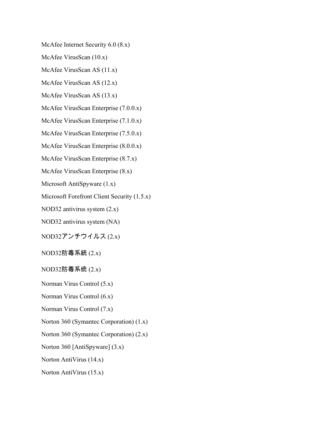McAfee Internet Security 6.0 (8.x)

McAfee VirusScan (10.x)

McAfee VirusScan AS (11.x)

McAfee VirusScan AS (12.x)

McAfee VirusScan AS (13.x)

McAfee VirusScan Enterprise (7.0.0.x)

McAfee VirusScan Enterprise (7.1.0.x)

McAfee VirusScan Enterprise (7.5.0.x)

McAfee VirusScan Enterprise (8.0.0.x)

McAfee VirusScan Enterprise (8.7.x)

McAfee VirusScan Enterprise (8.x)

Microsoft AntiSpyware (1.x)

Microsoft Forefront Client Security (1.5.x)

NOD32 antivirus system (2.x)

NOD32 antivirus system (NA)

 $NOD32$ アンチウイルス(2.x)

NOD32防毒系統 (2.x)

 $NOD32$ 防毒系统 $(2.x)$ 

Norman Virus Control (5.x)

Norman Virus Control (6.x)

Norman Virus Control (7.x)

Norton 360 (Symantec Corporation) (1.x)

Norton 360 (Symantec Corporation) (2.x)

Norton 360 [AntiSpyware] (3.x)

Norton AntiVirus (14.x)

Norton AntiVirus (15.x)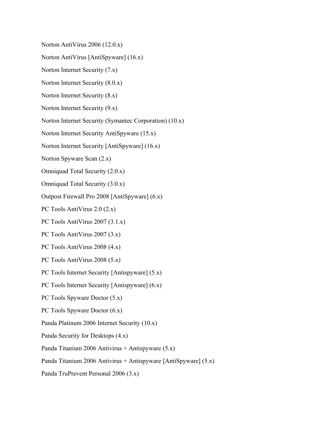Norton AntiVirus 2006 (12.0.x)

Norton AntiVirus [AntiSpyware] (16.x)

Norton Internet Security (7.x)

Norton Internet Security (8.0.x)

Norton Internet Security (8.x)

Norton Internet Security (9.x)

Norton Internet Security (Symantec Corporation) (10.x)

Norton Internet Security AntiSpyware (15.x)

Norton Internet Security [AntiSpyware] (16.x)

Norton Spyware Scan (2.x)

Omniquad Total Security (2.0.x)

Omniquad Total Security (3.0.x)

Outpost Firewall Pro 2008 [AntiSpyware] (6.x)

PC Tools AntiVirus 2.0 (2.x)

PC Tools AntiVirus 2007 (3.1.x)

PC Tools AntiVirus 2007 (3.x)

PC Tools AntiVirus 2008 (4.x)

PC Tools AntiVirus 2008 (5.x)

PC Tools Internet Security [Antispyware] (5.x)

PC Tools Internet Security [Antispyware] (6.x)

PC Tools Spyware Doctor (5.x)

PC Tools Spyware Doctor (6.x)

Panda Platinum 2006 Internet Security (10.x)

Panda Security for Desktops (4.x)

Panda Titanium 2006 Antivirus + Antispyware (5.x)

Panda Titanium 2006 Antivirus + Antispyware [AntiSpyware] (5.x)

Panda TruPrevent Personal 2006 (3.x)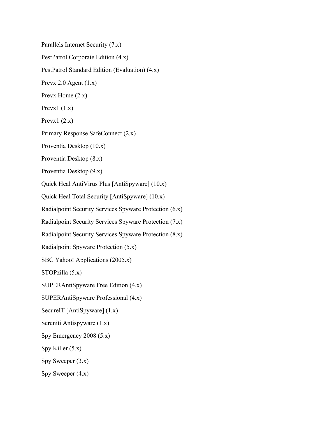Parallels Internet Security (7.x)

PestPatrol Corporate Edition (4.x)

PestPatrol Standard Edition (Evaluation) (4.x)

Prevx 2.0 Agent  $(1.x)$ 

Prevx Home  $(2.x)$ 

Prevx1 $(1.x)$ 

Prevx1 $(2.x)$ 

Primary Response SafeConnect (2.x)

Proventia Desktop (10.x)

Proventia Desktop (8.x)

Proventia Desktop (9.x)

Quick Heal AntiVirus Plus [AntiSpyware] (10.x)

Quick Heal Total Security [AntiSpyware] (10.x)

Radialpoint Security Services Spyware Protection (6.x)

Radialpoint Security Services Spyware Protection (7.x)

Radialpoint Security Services Spyware Protection (8.x)

Radialpoint Spyware Protection (5.x)

SBC Yahoo! Applications (2005.x)

STOPzilla (5.x)

SUPERAntiSpyware Free Edition (4.x)

SUPERAntiSpyware Professional (4.x)

SecureIT [AntiSpyware] (1.x)

Sereniti Antispyware (1.x)

Spy Emergency 2008 (5.x)

Spy Killer (5.x)

Spy Sweeper  $(3.x)$ 

Spy Sweeper  $(4.x)$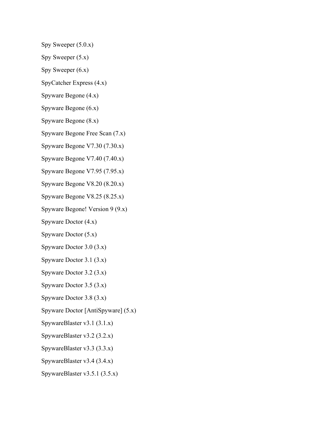Spy Sweeper  $(5.0.x)$ 

Spy Sweeper  $(5.x)$ 

Spy Sweeper  $(6.x)$ 

SpyCatcher Express (4.x)

Spyware Begone (4.x)

Spyware Begone (6.x)

Spyware Begone (8.x)

Spyware Begone Free Scan (7.x)

Spyware Begone V7.30 (7.30.x)

Spyware Begone V7.40 (7.40.x)

Spyware Begone V7.95 (7.95.x)

Spyware Begone V8.20 (8.20.x)

Spyware Begone V8.25 (8.25.x)

Spyware Begone! Version 9 (9.x)

Spyware Doctor (4.x)

Spyware Doctor (5.x)

Spyware Doctor 3.0 (3.x)

Spyware Doctor 3.1 (3.x)

Spyware Doctor 3.2 (3.x)

Spyware Doctor 3.5 (3.x)

Spyware Doctor 3.8 (3.x)

Spyware Doctor [AntiSpyware] (5.x)

SpywareBlaster v3.1 (3.1.x)

SpywareBlaster v3.2 (3.2.x)

SpywareBlaster v3.3 (3.3.x)

SpywareBlaster v3.4 (3.4.x)

SpywareBlaster v3.5.1 (3.5.x)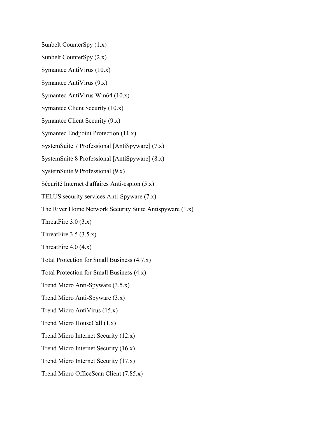Sunbelt CounterSpy (1.x)

Sunbelt CounterSpy (2.x)

Symantec AntiVirus (10.x)

Symantec AntiVirus (9.x)

Symantec AntiVirus Win64 (10.x)

Symantec Client Security (10.x)

Symantec Client Security (9.x)

Symantec Endpoint Protection (11.x)

SystemSuite 7 Professional [AntiSpyware] (7.x)

SystemSuite 8 Professional [AntiSpyware] (8.x)

SystemSuite 9 Professional (9.x)

Sécurité Internet d'affaires Anti-espion (5.x)

TELUS security services Anti-Spyware (7.x)

The River Home Network Security Suite Antispyware (1.x)

ThreatFire  $3.0$  (3.x)

ThreatFire  $3.5 (3.5.x)$ 

ThreatFire  $4.0$  (4.x)

Total Protection for Small Business (4.7.x)

Total Protection for Small Business (4.x)

Trend Micro Anti-Spyware (3.5.x)

Trend Micro Anti-Spyware (3.x)

Trend Micro AntiVirus (15.x)

Trend Micro HouseCall (1.x)

Trend Micro Internet Security (12.x)

Trend Micro Internet Security (16.x)

Trend Micro Internet Security (17.x)

Trend Micro OfficeScan Client (7.85.x)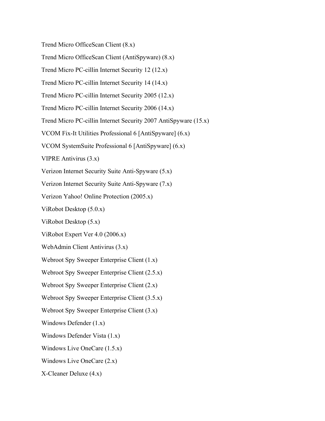Trend Micro OfficeScan Client (8.x)

Trend Micro OfficeScan Client (AntiSpyware) (8.x)

Trend Micro PC-cillin Internet Security 12 (12.x)

Trend Micro PC-cillin Internet Security 14 (14.x)

Trend Micro PC-cillin Internet Security 2005 (12.x)

Trend Micro PC-cillin Internet Security 2006 (14.x)

Trend Micro PC-cillin Internet Security 2007 AntiSpyware (15.x)

VCOM Fix-It Utilities Professional 6 [AntiSpyware] (6.x)

VCOM SystemSuite Professional 6 [AntiSpyware] (6.x)

VIPRE Antivirus (3.x)

Verizon Internet Security Suite Anti-Spyware (5.x)

Verizon Internet Security Suite Anti-Spyware (7.x)

Verizon Yahoo! Online Protection (2005.x)

ViRobot Desktop (5.0.x)

ViRobot Desktop (5.x)

ViRobot Expert Ver 4.0 (2006.x)

WebAdmin Client Antivirus (3.x)

Webroot Spy Sweeper Enterprise Client (1.x)

Webroot Spy Sweeper Enterprise Client (2.5.x)

Webroot Spy Sweeper Enterprise Client (2.x)

Webroot Spy Sweeper Enterprise Client (3.5.x)

Webroot Spy Sweeper Enterprise Client (3.x)

Windows Defender (1.x)

Windows Defender Vista (1.x)

Windows Live OneCare (1.5.x)

Windows Live OneCare (2.x)

X-Cleaner Deluxe (4.x)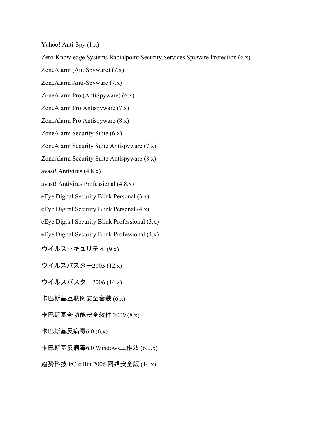Yahoo! Anti-Spy (1.x)

Zero-Knowledge Systems Radialpoint Security Services Spyware Protection (6.x)

ZoneAlarm (AntiSpyware) (7.x)

ZoneAlarm Anti-Spyware (7.x)

ZoneAlarm Pro (AntiSpyware) (6.x)

ZoneAlarm Pro Antispyware (7.x)

ZoneAlarm Pro Antispyware (8.x)

ZoneAlarm Security Suite (6.x)

ZoneAlarm Security Suite Antispyware (7.x)

ZoneAlarm Security Suite Antispyware (8.x)

avast! Antivirus (4.8.x)

avast! Antivirus Professional (4.8.x)

eEye Digital Security Blink Personal (3.x)

eEye Digital Security Blink Personal (4.x)

eEye Digital Security Blink Professional (3.x)

eEye Digital Security Blink Professional (4.x)

ウイルスセキュリティ $(9x)$ 

ウイルスバスター2005 (12.x)

ウイルスバスター2006 (14.x)

卡巴斯基互联网安全套装  $(6.x)$ 

卡巴斯基全功能安全软件 2009 (8.x)

卡巴斯基反病毒 $6.0(6.x)$ 

卡巴斯基反病毒 $6.0$  Windows工作站  $(6.0.x)$ 

趋势科技 PC-cillin 2006 网络安全版 (14.x)